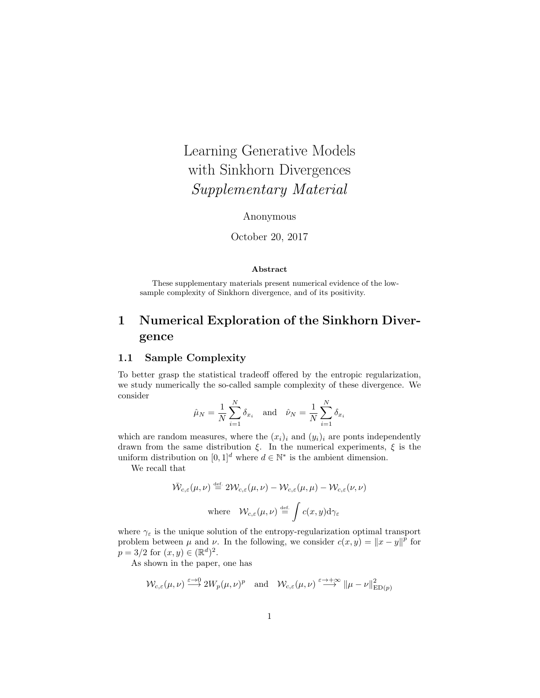# Learning Generative Models with Sinkhorn Divergences Supplementary Material

### Anonymous

October 20, 2017

#### Abstract

These supplementary materials present numerical evidence of the lowsample complexity of Sinkhorn divergence, and of its positivity.

# 1 Numerical Exploration of the Sinkhorn Divergence

# 1.1 Sample Complexity

To better grasp the statistical tradeoff offered by the entropic regularization, we study numerically the so-called sample complexity of these divergence. We consider

$$
\hat{\mu}_N = \frac{1}{N} \sum_{i=1}^N \delta_{x_i} \quad \text{and} \quad \hat{\nu}_N = \frac{1}{N} \sum_{i=1}^N \delta_{x_i}
$$

which are random measures, where the  $(x_i)_i$  and  $(y_i)_i$  are ponts independently drawn from the same distribution  $\xi$ . In the numerical experiments,  $\xi$  is the uniform distribution on  $[0,1]^d$  where  $d \in \mathbb{N}^*$  is the ambient dimension.

We recall that

$$
\bar{\mathcal{W}}_{c,\varepsilon}(\mu,\nu) \stackrel{\text{def}}{=} 2\mathcal{W}_{c,\varepsilon}(\mu,\nu) - \mathcal{W}_{c,\varepsilon}(\mu,\mu) - \mathcal{W}_{c,\varepsilon}(\nu,\nu)
$$
\nwhere

\n
$$
\mathcal{W}_{c,\varepsilon}(\mu,\nu) \stackrel{\text{def}}{=} \int c(x,y) d\gamma_{\varepsilon}
$$

where  $\gamma_{\varepsilon}$  is the unique solution of the entropy-regularization optimal transport problem between  $\mu$  and  $\nu$ . In the following, we consider  $c(x, y) = ||x - y||^{\hat{p}}$  for  $p = 3/2$  for  $(x, y) \in (\mathbb{R}^d)^2$ .

As shown in the paper, one has

$$
\mathcal{W}_{c,\varepsilon}(\mu,\nu) \stackrel{\varepsilon \to 0}{\longrightarrow} 2W_p(\mu,\nu)^p \quad \text{and} \quad \mathcal{W}_{c,\varepsilon}(\mu,\nu) \stackrel{\varepsilon \to +\infty}{\longrightarrow} \|\mu-\nu\|_{\mathrm{ED}(p)}^2
$$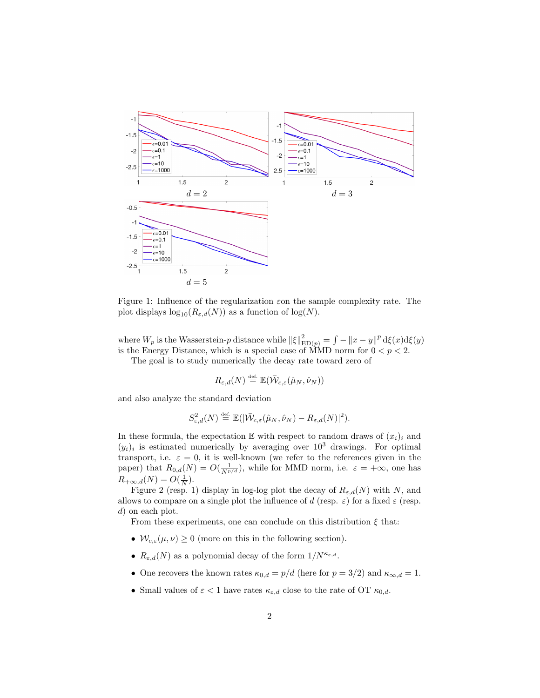

Figure 1: Influence of the regularization  $\varepsilon$  on the sample complexity rate. The plot displays  $\log_{10}(R_{\varepsilon,d}(N))$  as a function of  $\log(N)$ .

where  $W_p$  is the Wasserstein-p distance while  $\|\xi\|_{\mathrm{ED}(p)}^2 = \int - \|x - y\|^p \, \mathrm{d}\xi(x) \mathrm{d}\xi(y)$ is the Energy Distance, which is a special case of MMD norm for  $0 < p < 2$ .

The goal is to study numerically the decay rate toward zero of

$$
R_{\varepsilon,d}(N)\stackrel{\scriptscriptstyle\rm def.}{=} \mathbb{E}(\bar{\mathcal{W}}_{c,\varepsilon}(\hat{\mu}_N,\hat{\nu}_N))
$$

and also analyze the standard deviation

$$
S^2_{\varepsilon,d}(N) \stackrel{\text{def.}}{=} \mathbb{E}(|\bar{\mathcal{W}}_{c,\varepsilon}(\hat{\mu}_N,\hat{\nu}_N) - R_{\varepsilon,d}(N)|^2).
$$

In these formula, the expectation  $\mathbb E$  with respect to random draws of  $(x_i)_i$  and  $(y_i)_i$  is estimated numerically by averaging over  $10^3$  drawings. For optimal transport, i.e.  $\varepsilon = 0$ , it is well-known (we refer to the references given in the paper) that  $R_{0,d}(N) = O(\frac{1}{N^{p/d}})$ , while for MMD norm, i.e.  $\varepsilon = +\infty$ , one has  $R_{+\infty,d}(N) = O(\frac{1}{N}).$ 

Figure 2 (resp. 1) display in log-log plot the decay of  $R_{\varepsilon,d}(N)$  with N, and allows to compare on a single plot the influence of d (resp.  $\varepsilon$ ) for a fixed  $\varepsilon$  (resp. d) on each plot.

From these experiments, one can conclude on this distribution  $\xi$  that:

- $W_{c,\varepsilon}(\mu,\nu) \geq 0$  (more on this in the following section).
- $R_{\varepsilon,d}(N)$  as a polynomial decay of the form  $1/N^{\kappa_{\varepsilon,d}}$ .
- One recovers the known rates  $\kappa_{0,d} = p/d$  (here for  $p = 3/2$ ) and  $\kappa_{\infty,d} = 1$ .
- Small values of  $\varepsilon < 1$  have rates  $\kappa_{\varepsilon,d}$  close to the rate of OT  $\kappa_{0,d}$ .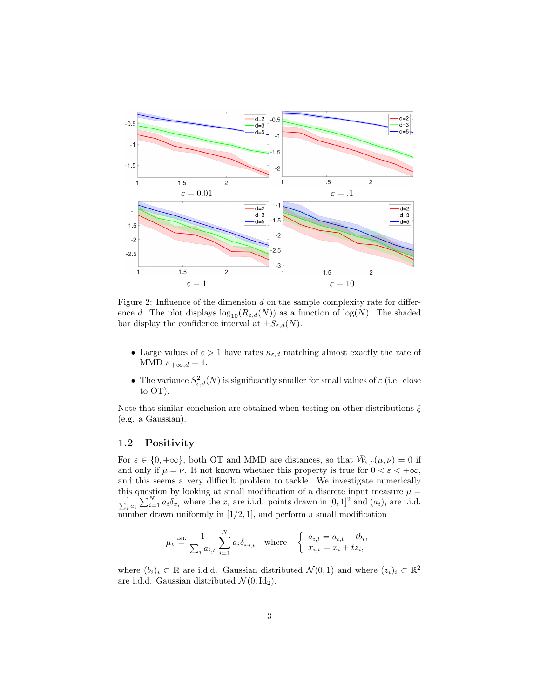

Figure 2: Influence of the dimension d on the sample complexity rate for difference d. The plot displays  $\log_{10}(R_{\varepsilon,d}(N))$  as a function of  $\log(N)$ . The shaded bar display the confidence interval at  $\pm S_{\varepsilon,d}(N)$ .

- Large values of  $\varepsilon > 1$  have rates  $\kappa_{\varepsilon,d}$  matching almost exactly the rate of MMD  $\kappa_{+\infty,d} = 1$ .
- The variance  $S^2_{\varepsilon,d}(N)$  is significantly smaller for small values of  $\varepsilon$  (i.e. close to OT).

Note that similar conclusion are obtained when testing on other distributions  $\xi$ (e.g. a Gaussian).

# 1.2 Positivity

For  $\varepsilon \in \{0, +\infty\}$ , both OT and MMD are distances, so that  $\overline{W}_{\varepsilon,c}(\mu, \nu) = 0$  if and only if  $\mu = \nu$ . It not known whether this property is true for  $0 < \varepsilon < +\infty$ , and this seems a very difficult problem to tackle. We investigate numerically this question by looking at small modification of a discrete input measure  $\mu =$  $\frac{1}{\sum_i}$  $\frac{1}{a_i a_i} \sum_{i=1}^{N} a_i \delta_{x_i}$  where the  $x_i$  are i.i.d. points drawn in  $[0, 1]^2$  and  $(a_i)_i$  are i.i.d. number drawn uniformly in  $[1/2, 1]$ , and perform a small modification

$$
\mu_t \stackrel{\text{def.}}{=} \frac{1}{\sum_i a_{i,t}} \sum_{i=1}^N a_i \delta_{x_{i,t}} \quad \text{where} \quad \begin{cases} a_{i,t} = a_{i,t} + t b_i, \\ x_{i,t} = x_i + t z_i, \end{cases}
$$

where  $(b_i)_i \subset \mathbb{R}$  are i.d.d. Gaussian distributed  $\mathcal{N}(0,1)$  and where  $(z_i)_i \subset \mathbb{R}^2$ are i.d.d. Gaussian distributed  $\mathcal{N}(0, \text{Id}_2)$ .